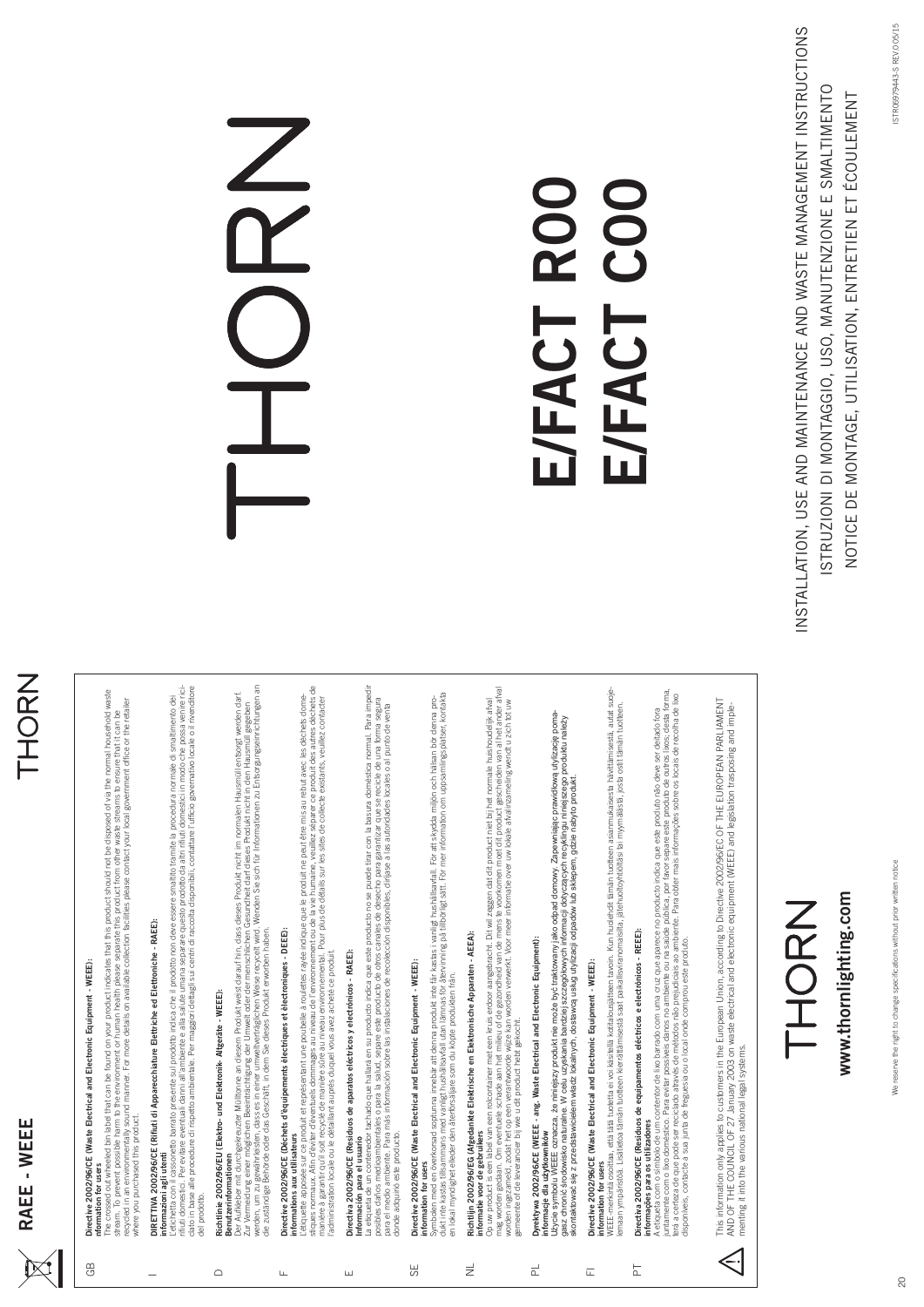## THORN

#### **Directive 2002/96/CE (Waste Electrical and Electronic Equipment - WEEE):**  Directive 2002/96/CE (Waste Electrical and Electronic Equipment - WEEE): nformation for users **nformation for users**

GB

The crossed out wheeled bin label that can be found on your product indicates that this product should not be disposed of via the normal household waste he normal household waste stream. To prevent possible harm to the environment or human health please separate this product from other waste streams to ensure that it can be<br>recycled in an environmentally sound manner. For more details on available recycled in an environmentally sound manner. For more details on available collection facilities please contact your local government office or the retailer stream. To prevent possible harm to the environment or human health please separate this product from other waste streams to ensure that it can be The crossed out wheeled bin label that can be found on your product indicates that this product should not be disposed of via t where you purchased this product. where you purchased this product.

## DIRETTIVA 2002/96/CE (Rifiuti di Apparecchiature Elettriche ed Elettroniche - RAEE): DIRETTIVA 2002/96/CE (Rifiuti di Apparecchiature Elettriche ed Elettroniche - RAEE): nformazioni agli utenti

L'etichetta con il cassonetto barato presente sul prodotto indica che il prodotto non deve essere smalito tramite la procedura nomale di smalitmento dei<br>Cato in base alle procedure di rispetto ambientale. Per maggiori dett rifi uti domestici. Per evitare eventuali danni all'ambiente e alla salute umana separare questo prodotto da altri rifi uti domestici in modo che possa venire riciclato in base alle procedure di rispetto ambientale. Per maggiori dettagli sui centri di raccolta disponibili, contattare l'uffi cio governativo locale o il rivenditore L'etichetta con il cassonetto barrato presente sul prodotto indica che il prodotto non deve essere smaltito tramite la procedura normale di smaltimento dei **informazioni agli utenti** del prodotto. del prodotto.

## Richtlinie 2002/96/EU (Elektro- und Elektronik- Altgeräte - WEEE): **Richtlinie 2002/96/EU (Elektro- und Elektronik- Altgeräte - WEEE):**

 $\overline{C}$ 

mationen **Benutzerinformationen**

Der Aufkleber mit durchgekreuzter Mülltonne an diesem Produkt weist darauf hin, dass dieses Produkt nicht im normalen Hausmüll entsorgt werden darf.<br>Zur Vermeidung einer möglichen Beeinträchtigung der Umwelt oder der mensc werden, um zu gewährleisten, dass es in einer umweltverträglichen Weise recycelt wird. Wenden Sie sich für Informationen zu Entsorgungseinrichtungen an Der Aufkleber mit durchgekreuzter Mülltonne an diesem Produkt weist darauf hin, dass dieses Produkt nicht im normalen Hausmüll entsorgt werden darf. Zur Vermeidung einer möglichen Beeinträchtigung der Umwelt oder der menschlichen Gesundheit darf dieses Produkt nicht in den Hausmüll gegeben die zuständige Behörde oder das Geschäft, in dem Sie dieses Produkt erworben haben.

# **Directive 2002/96/CE (Déchets d'èquipements èlectriques et èlectroniques - DEEE):**  Directive 2002/96/CE (Déchets d'èquipements èlectriques et èlectroniques - DEEE):

#### **informations aux utilisateurs** nformations aux utilisateurs

 $\mathbf{H}$ 

L'étiquette apposée sur ce produit et représentant une poubelle à roulettes rayée indique que le produit ne peut être mis au rebut avec les déchets dome-<br>stiques normaux. Afin d'éviter d'éventuels dommages au niveau de l'e stiques normaux. Afi n d'éviter d'éventuels dommages au niveau de l'environnement ou de la vie humaine, veuillez séparer ce produit des autres déchets de L'étiquette apposée sur ce produit et représentant une poubelle à roulettes rayée indique que le produit ne peut être mis au rebut avec les déchets domemaniére à garantir qu'il soit recyclé de manière sûre au niveau environnemental. Pour plus de détails sur les sites de collecte existants, veuillez contacter l'administration locale ou le détaillant auprés duquel vous avez acheté ce produit.

## **Directiva 2002/96/CE (Residuos de aparatos eléctricos y electrónicos - RAEE):**  Directiva 2002/96/CE (Residuos de aparatos eléctricos y electrónicos - RAEE): **Información para el usuario**

 $\overline{\mathbb{E}}$ 

La etiqueta de un contenedor tachado que hallará en su producto indica que este producto no se puede tirar con la basura doméstica normal. Para impedir La etiqueta de un contenedor tachado que hallará en su producto indica que este producto no se puede tirar con la basura doméstica normal. Para impedir posibles daños medicambientales o para la salud, separe este producto de otros canales de desecho para garantzar que se recicle de una forma segura<br>para el medio ambiente. Para más información sobre las instalaciones de re posibles daños medioambientales o para la salud, separe este producto de otros canales de desecho para garantizar que se recicle de una forma segura para el medio ambiente. Para más información sobre las instalaciones de recolección disponibles, diríjase a las autoridades locales o al punto de venta donde adquirió este producto. donde adquirió este producto. Información para el usuario

### **Directive 2002/96/CE (Waste Electrical and Electronic Equipment - WEEE):**  Directive 2002/96/CE (Waste Electrical and Electronic Equipment - WEEE): **information for users** SE

information for users

dukt inte kastas tillsammans med vanligt hushållsavfall utan lämnas för återvinning på tillbörligt sätt. För mer information om uppsamlingsplatser, kontakta Symbolen med en överkorsad soptunna innebär att denna produkt inte får kastas i vanligt hushållsavfall. För att skydda miljön och hålsan bör denna pro-<br>dukt inte kastas tillsammans med vanligt hushållsavfall utan lämnas fö Symbolen med en överkorsad soptunna innebär att denna produkt inte får kastas i vanligt hushållsavfall. För att skydda miljön och hälsan bör denna proen lokal myndighet elleder den återförsäljare som du köpte produkten från. en lokal myndighet elleder den återförsäljare som du köpte produkten från.

## **Richtlijn 2002/96/EG (Afgedankte Elektrische en Elektronische Apparaten - AEEA):**  Richtliin 2002/96/EG (Afgedankte Elektrische en Elektronische Apparaten - AEEA)

 $\overrightarrow{z}$ 

informatie voor de gebruikers **informatie voor de gebruikers**

Op uw product is een label van een rokontainer met een kruis erdoor aangebracht. Dit wil zeggen dat dit product niet blij het normale huishoudelijk afval<br>word worderzamed, zoon een verscheid van die volgende van die versch mag worden gedaan. Om eventuele schade aan het milieu of de gezondheid van de mens te voorkomen moet dit product gescheiden van al het ander afval Op uw product is een label van een rolcontainer met een kruis erdoor aangebracht. Dit wil zeggen dat dit product niet bij het normale huishoudelijk afval worden ingezameld, zodat het op een verantwoorde wijze kan worden verwerkt. Voor meer informatie over uw lokale afvalinzameling wendt u zich tot uw gemeente of de leverancier bij wie u dit product hebt gekocht gemeente of de leverancier bij wie u dit product hebt gekocht.

## **Dyrektywa 2002/96/CE (WEEE - ang. Waste Electrical and Electronic Equipment):**  Dyrektywa 2002/96/CE (WEEE - ang. Waste Electrical and Electronic Equipment):  $\overline{\mathbb{C}}$

**informacje dla użytkowników**

informácje dla użytkowników – "e" – "e" – "e" – "e" – "e" – "e" – "e" – "e" – "e" – "e" – "e" – "e" – "e" – "e<br>Użycie symbolu WEEE oznacza, a w niejsuzypisania hardziej szycjatowych informacji dotyczących recyklingu niniej Użycie symbolu WEEE oznacza, że niniejszy produkt nie może być traktowany jako odpad domowy. Zapewniając prawidłową utylizację pomagasz chronić środowisko naturalne. W celu uzyskania bardziej szczegółowych informacji dotyczących recyklingu niniejszego produktu należy skontaktować się z przedstawicielem władz lokalnych, dostawcą usług utylizacji odpadów lub sklepem, gdzie nabyto produkt.

## **Directive 2002/96/CE (Waste Electrical and Electronic Equipment - WEEE):**  Directive 2002/96/CE (Waste Electrical and Electronic Equipment - WEEE):  $\bar{a}$

nformation for users **information for users**

WEEE-merkinä osoitaa, että tää tuotetta ei voi käsitellä kotitalousjätteen tavoin. Kun huolehdit tämän tuotteen asiamnukaisesta hävitämisestä, autat suoje-<br>Iemaan ympäristöä. Lisätietoa tämän tuotteen kierrattämisestä saat WEEE-merkintä osoittaa, että tätä tuotetta ei voi käsitellä kotitalousjätteen tavoin. Kun huolehdit tämän tuotteen asianmukaisesta hävittämisestä, autat suojelemaan ympäristöä. Lisätietoa tämän tuotteen kierrättämisestä saat paikallisviranomaisilta, jätehuoltoyhtiöltäsi tai myymälästä, josta ostit tämän tuotteen.

## **Directiva 2002/96/CE (Residuos de equipamentos eléctricos e electrónicos - REEE):**  Directiva 2002/96/CE (Residuos de equipamentos eléctricos e electrónicos - REEE): **informações para os utilizadores** informações para os utilizadores

PT

A eitqueta com o símbolo de um contentor de lixo barrado com uma cruz que aparece no producto indica que este produto não deve ser deitado fora<br>juntamente com o lixo doméstico. Para evitar possíveis danos no ambiente u na juntamente com o lixo doméstico. Para evitar possíveis danos no ambiente ou na saúde pública, por favor separe este produto de outros lixos; desta forma, terá a certeza de que pode ser reciclado através de métodos não prejudiciais ao ambiente. Para obter mais informações sobre os locais de recolha de lixo A etiqueta com o símbolo de um contentor de lixo barrado com uma cruz que aparece no producto indica que este produto não deve ser deitado fora disponíveis, contacte a sua junta de freguesia ou o local onde comprou este produto.

This information only applies to customers in the European Union, according to Directive 2002/96/EC OF THE EUROPEAN PARLIAMENT<br>AND OF THE COUNCIL OF 27 January 2003 on waste electrical and electronic equipment (WEEE) and l This information only applies to customers in the European Union, according to Directive 2002/96/EC OF THE EUROPEAN PARLIAMENT AND OF THE COUNCIL OF 27 January 2003 on waste electrical and electronic equipment (WEEE) and legislation trasposing and implementing it into the various national legal systems. menting it into the various national legal systems.  $\leq$ 



www.thornlighting.com **www.thornlighting.com**

# 

## **E/FACT R00**  E/FACT ROO E/FACT COO **E/FACT C00**

NSTALLATION, USE AND MAINTENANCE AND WASTE MANAGEMENT INSTRUCTIONS INSTALLATION, USE AND MAINTENANCE AND WASTE MANAGEMENT INSTRUCTIONS STRUZIONI DI MONTAGGIO, USO, MANUTENZIONE E SMALTIMENTO ISTRUZIONI DI MONTAGGIO, USO, MANUTENZIONE E SMALTIMENTO NOTICE DE MONTAGE, UTILISATION, ENTRETIEN ET ÉCOULEMENTNOTICE DE MONTAGE, UTILISATION, ENTRETIEN ET ÉCOULEMENT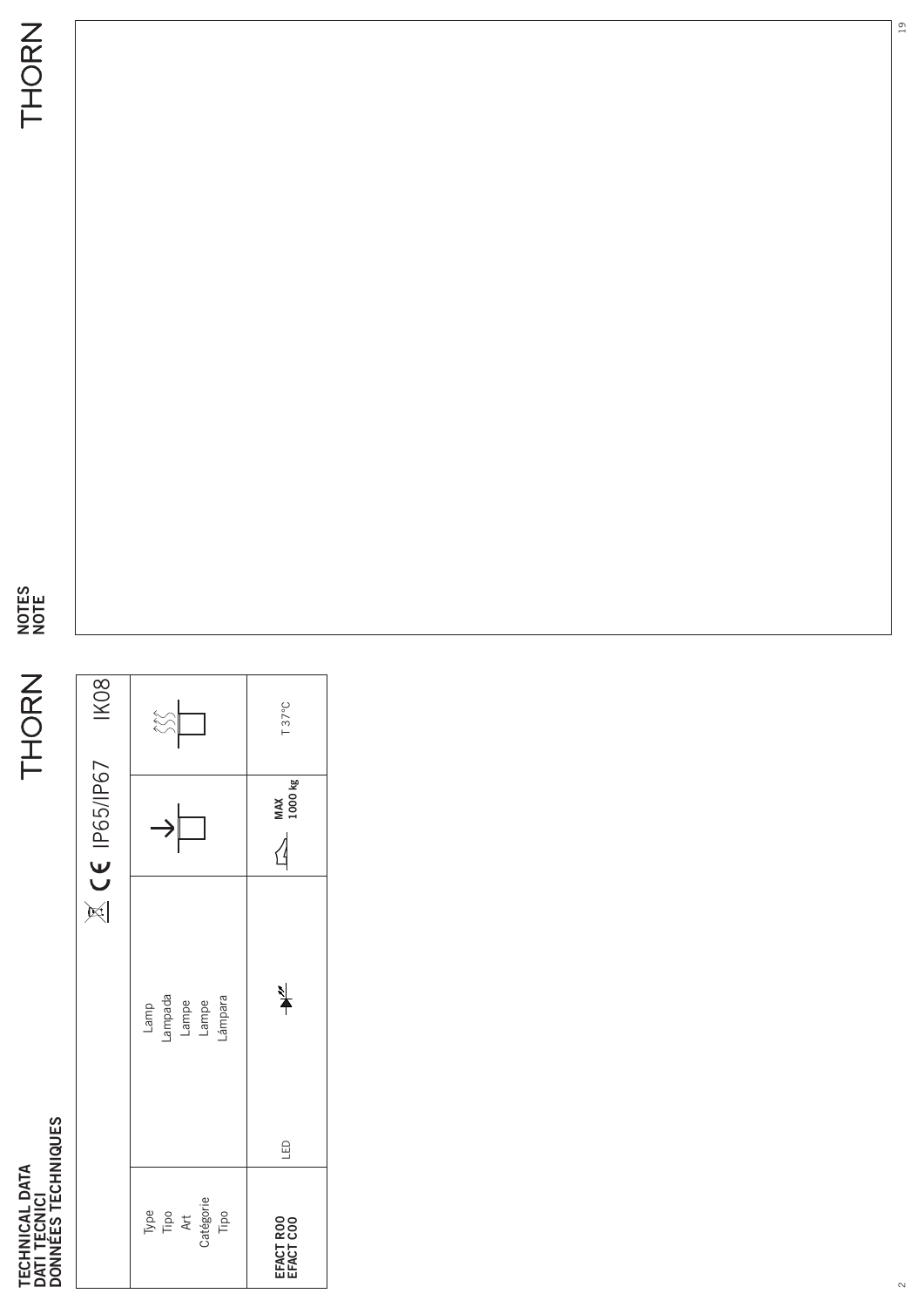TECHNICAL DATA<br>DATI TECNICI<br>DONNÉES TECHNIQUES **DONNÉES TECHNIQUES TECHNICAL DATA DATI TECNICI**

**NOTES NOTE**

|                                          |                                     | $C \epsilon$ IP65/IP67<br>$\stackrel{-}{\bowtie}$ | IK <sub>08</sub> |
|------------------------------------------|-------------------------------------|---------------------------------------------------|------------------|
| Type<br>Tipo<br>Art<br>Catégorie<br>Tipo | Lamp<br>-ampada<br>Lampe<br>Lampara |                                                   | $\bigotimes$     |
| EFACT ROO                                | $\frac{1}{2}$<br>G                  | MAX<br>1000 kg                                    | T 37°C           |

19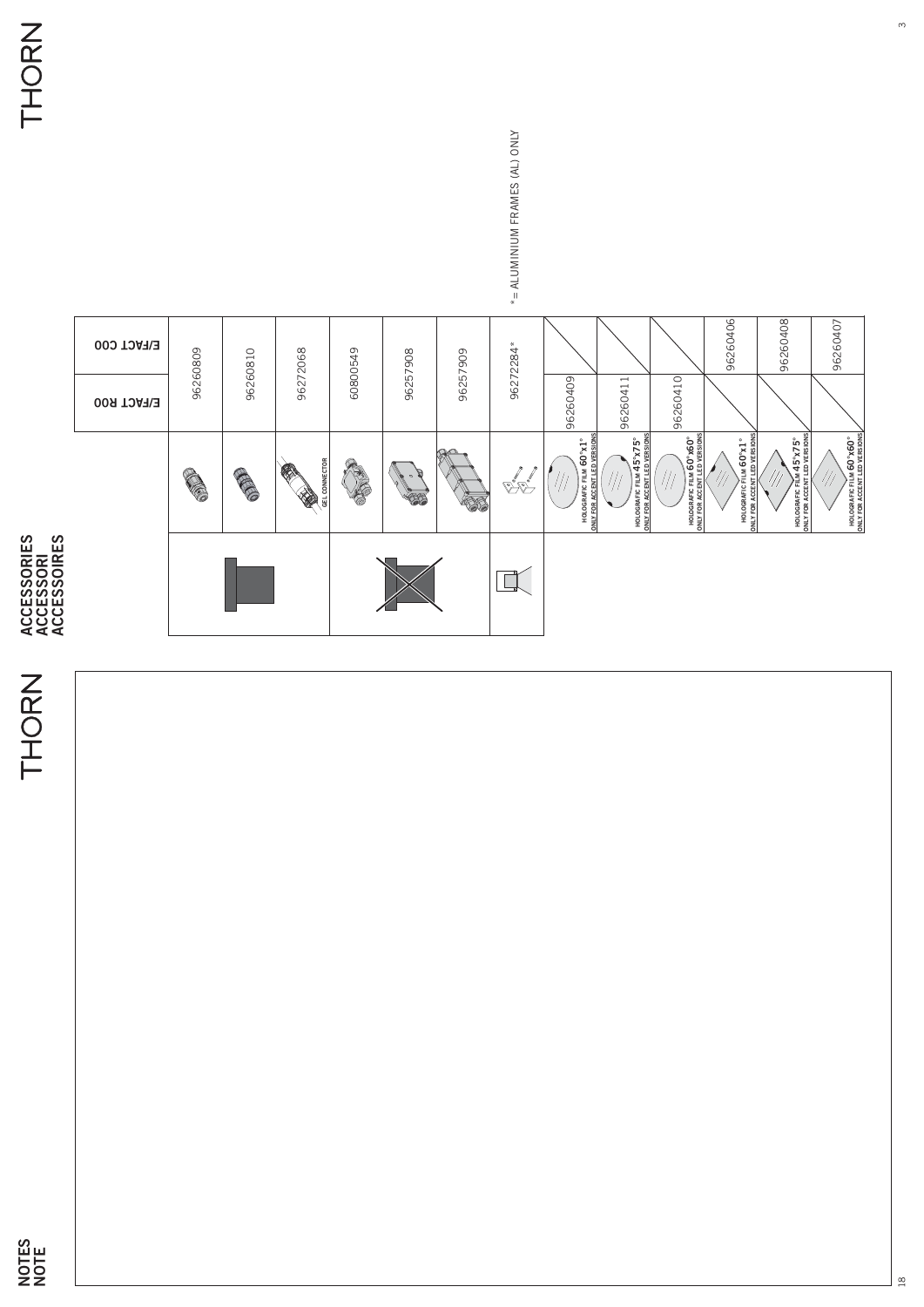## THORN

**ACCESSORIES ACCESSORI**





 $\frac{8}{18}$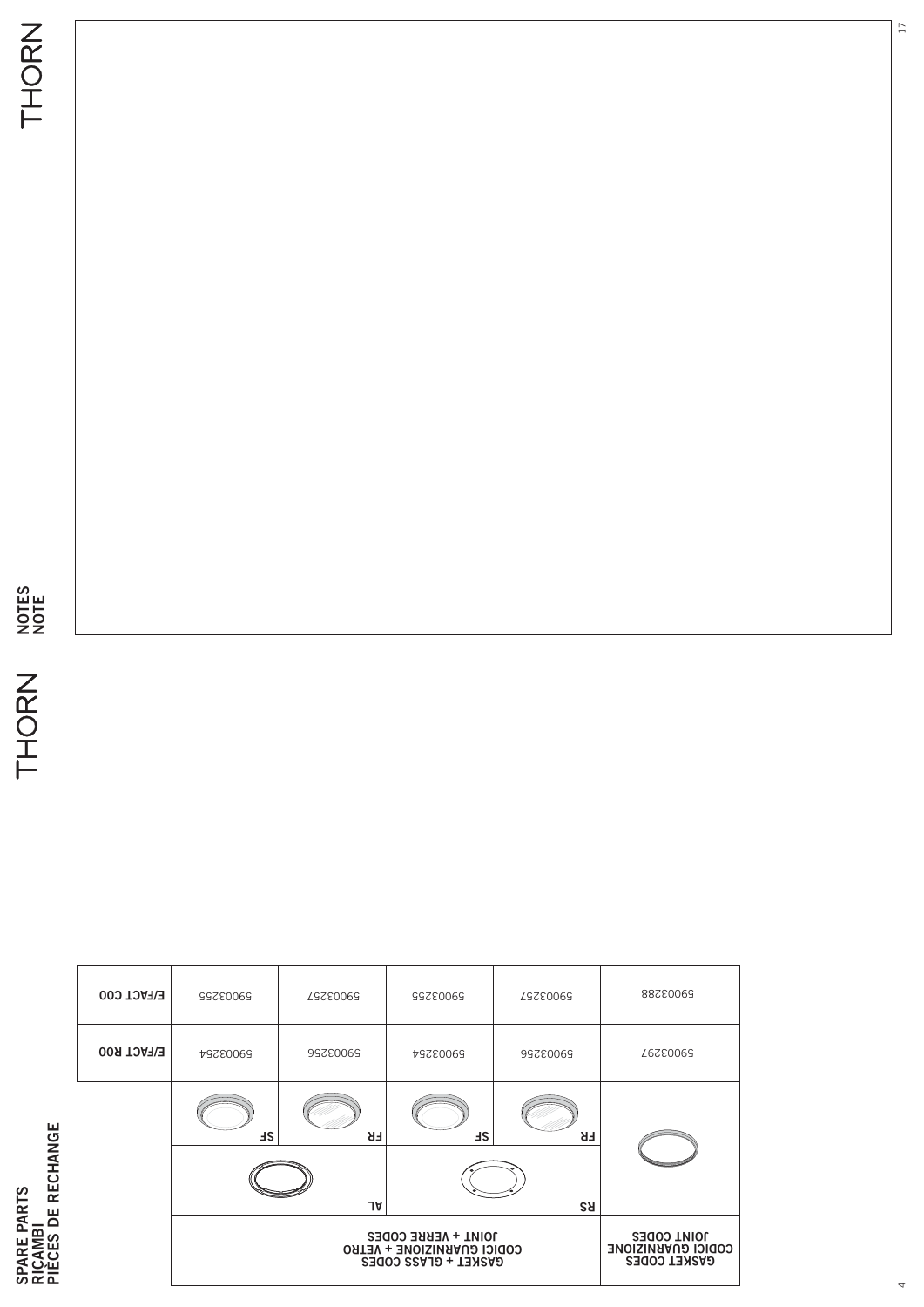| က္က |
|-----|
|     |
|     |

|                                | <b>E/FACT C00</b> | 59003255                                                                                                                                                   | 59003257 | 59003255  | <b>59003257</b> | 88280069 |  |  |  |  |  |
|--------------------------------|-------------------|------------------------------------------------------------------------------------------------------------------------------------------------------------|----------|-----------|-----------------|----------|--|--|--|--|--|
|                                | <b>E/FACT R00</b> | 59003254                                                                                                                                                   | 99780069 | 59003254  | 59003256        | 59003297 |  |  |  |  |  |
| RECHANGE<br><b>PARTS</b><br>ЪΕ |                   | <b>HS</b>                                                                                                                                                  | FR<br>JA | <b>HS</b> | FR<br><b>RS</b> |          |  |  |  |  |  |
| $\alpha$<br>ທ                  |                   | <b>JOINT CODES</b><br>JOINT + VERRE CODES<br><b>CODICI CONKNIZIONE</b><br><b>CODICI CUARNIZIONE + VETRO</b><br><b>GASKET CODES</b><br>GASKET + GLASS CODES |          |           |                 |          |  |  |  |  |  |

17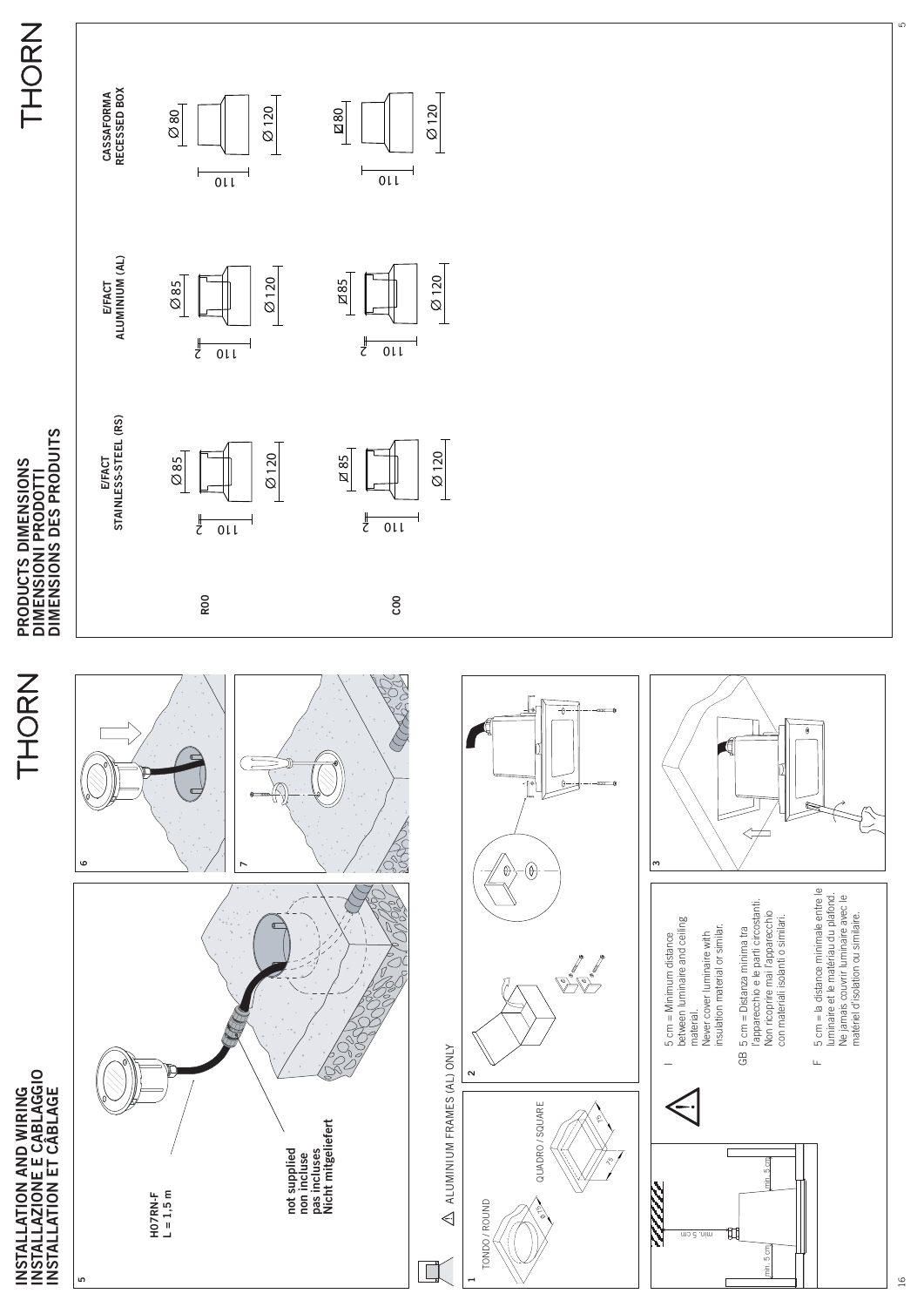

16

ء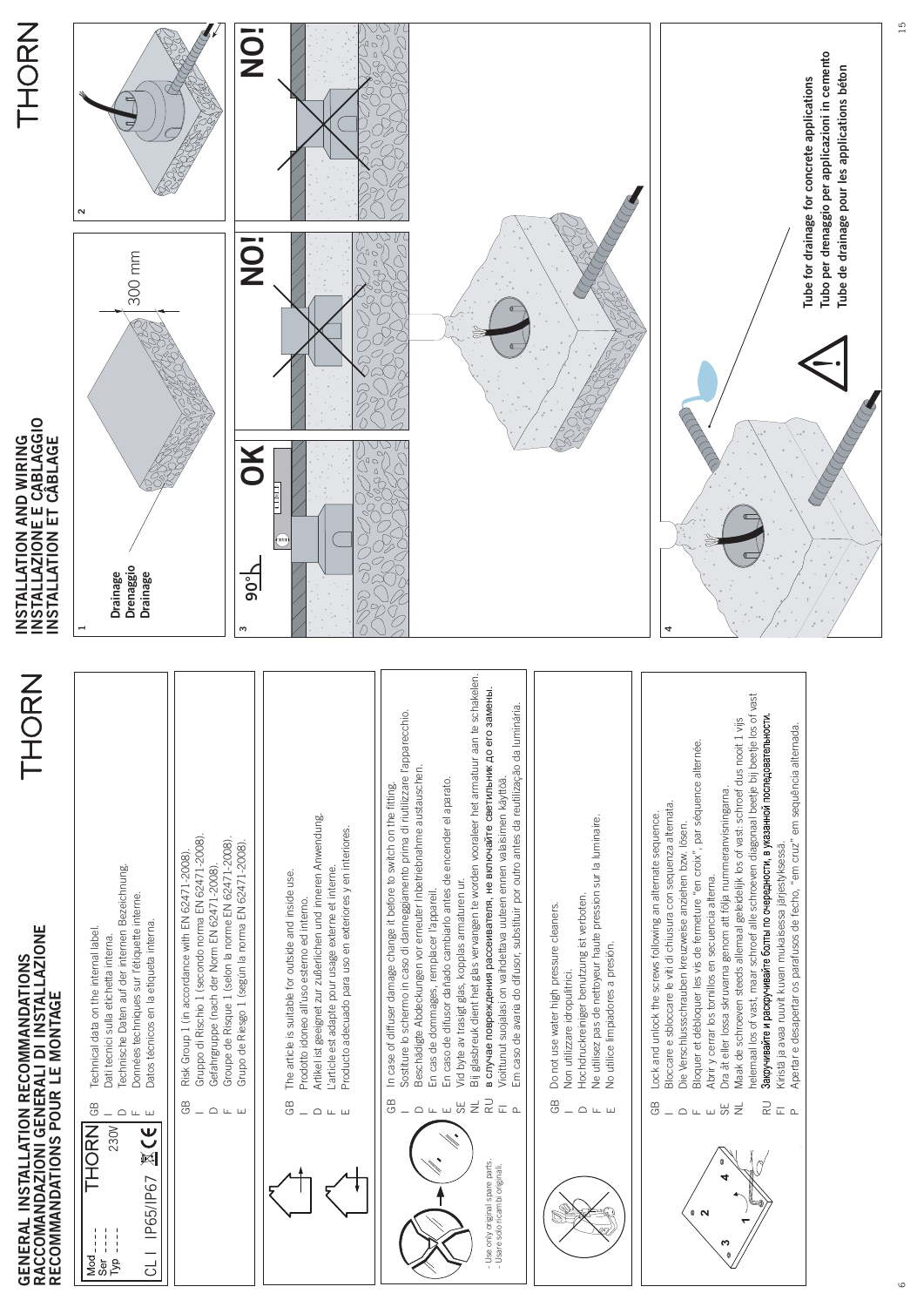

| ź<br>۰.<br>$\bar{\bm\zeta}$<br>Ī |  |
|----------------------------------|--|
|                                  |  |

| CLI IP65/IP67 区(E)<br>230V<br>$I_{\text{VD}}$<br>နိ | GB | Gruppo di Rischio 1 (secondo norma EN 62471-2008).<br>Groupe de Risque 1 (selon la norme EN 62471-2008).<br>Grupo de Riesgo 1 (según la norma EN 62471-2008).<br>Risk Group 1 (in accordance with EN 62471-2008).<br>Technische Daten auf der internen Bezeichnung.<br>Gefahrgruppe (nach der Norm EN 62471-2008).<br>Données techniques sur l'étiquette interne.<br>Datos técnicos en la etiqueta interna.<br>Dati tecnici sulla etichetta interna. |
|-----------------------------------------------------|----|------------------------------------------------------------------------------------------------------------------------------------------------------------------------------------------------------------------------------------------------------------------------------------------------------------------------------------------------------------------------------------------------------------------------------------------------------|
|                                                     |    | GB In case of diffuser damage change it before to switch on the fitting.<br>Artikel ist geeignet zur zußerlichen und inneren Anwendung.<br>Producto adecuado para uso en exteriores y en interiores.<br>L'article est adapte pour usage externe et interne.<br>GB The article is suitable for outside and inside use.<br>Prodotto idoneo all'uso esterno ed interno.                                                                                 |



- Use only original spare parts. - Usare solo ricambi originali.

Use only original spare parts. Usare solo ricambi originali.

- Sostiture lo schermo in caso di danneggiamento prima di riutilizzare l'apparecchio. Sostiture lo schermo in caso di danneggiamento prima di riutilizzare l'apparecchio. Beschädigte Abdeckungen vor erneuter Inbetriebnahme austauschen. Beschädigte Abdeckungen vor erneuter Inbetriebnahme austauschen. En cas de dommages, remplacer l'appareil. En cas de dommages, remplacer l'appareil.  $\cap$ FI
	- En caso de difusor dañado cambiarlo antes de encender el aparato. En caso de difusor dañado cambiarlo antes de encender el aparato.
		- Vid byte av trasigt glas, kopplas armaturen ur. Vid byte av trasigt glas, kopplas armaturen ur.
- Bij glasbreuk dient het glas vervangen te worden vooraleer het armatuur aan te schakelen. Bij glasbreuk dient het glas vervangen te worden vooraleer het armatuur aan te schakelen. u ₩ ≢ ₽ ⊏ ⊾
	- в случае повреждения рассеивателя, не включайте светильник до его замены. в случае повреждения рассеивателя, не включайте светильник до его замены.
		- Em caso de avaria do difusor, substituir por outro antes da reutilização da luminária. Em caso de avaria do difusor, substituir por outro antes da reutilização da luminária. Vioittunut suojalasi on vaihdettava uuteen ennen valaisimen käyttöä. Vioittunut suojalasi on vaihdettava uuteen ennen valaisimen käyttöä.



Hochdruckreiniger benutzung ist verboten. Hochdruckreiniger benutzung ist verboten.  $\cap$ LL.

GB

Do not use water high pressure cleaners.

Do not use water high pressure cleaners.

Non utilizzare idropulitrici.

Non utilizzare idropulitrici.

- Ne utilisez pas de nettoyeur haute pression sur la luminaire.<br>No utilice limpiadores a presión. Ne utilisez pas de nettoyeur haute pression sur la luminaire. No utilice limpiadores a presión.  $\mathbf{L}$
- 
- Bloccare e sbloccare le viti di chiusura con sequenza alternata. Bloccare e sbloccare le viti di chiusura con sequenza alternata. Lock and unlock the screws following an alternate sequence. Lock and unlock the screws following an alternate sequence. GB
	- Die Verschlussschrauben kreuzweise anziehen bzw. lösen. Die Verschlussschrauben kreuzweise anziehen bzw. lösen.  $\overline{C}$
- Bloquer et débloquer les vis de fermeture "en croix", par séquence alternée. Bloquer et débloquer les vis de fermeture "en croix", par séquence alternée. F
	- Dra åt eller lossa skruvarna genom att följa nummeranvisningarna. Dra åt eller lossa skruvarna genom att följa nummeranvisningarna. Abrir y cerrar los tornillos en secuencia alterna. Abrir y cerrar los tornillos en secuencia alterna. ພ ຫ່ z
- Maak de schroeven steeds allemaal geleidelijk los of vast: schroef dus nooit 1 vijs Maak de schroeven steeds allemaal geleidelijk los of vast: schroef dus nooit 1 vijs
- nelemaal los of vast, maar schroef alle schroeven diagonaal beetje bij beetje los of vast helemaal los of vast, maar schroef alle schroeven diagonaal beetje bij beetje los of vast Закручивайте и раскручивайте болты по очередности, в указанной последовательности. Kiristä ja avaa ruuvit kuvan mukaisessa järjestyksessä. Kiristä ja avaa ruuvit kuvan mukaisessa järjestyksessä  $\stackrel{\supset}{\sim}$   $\stackrel{\supset}{\sim}$  0.
	- Apertar e desapertar os parafusos de fecho, "em cruz" em sequência alternada. Apertar e desapertar os parafusos de fecho, "em cruz" em sequência alternada.

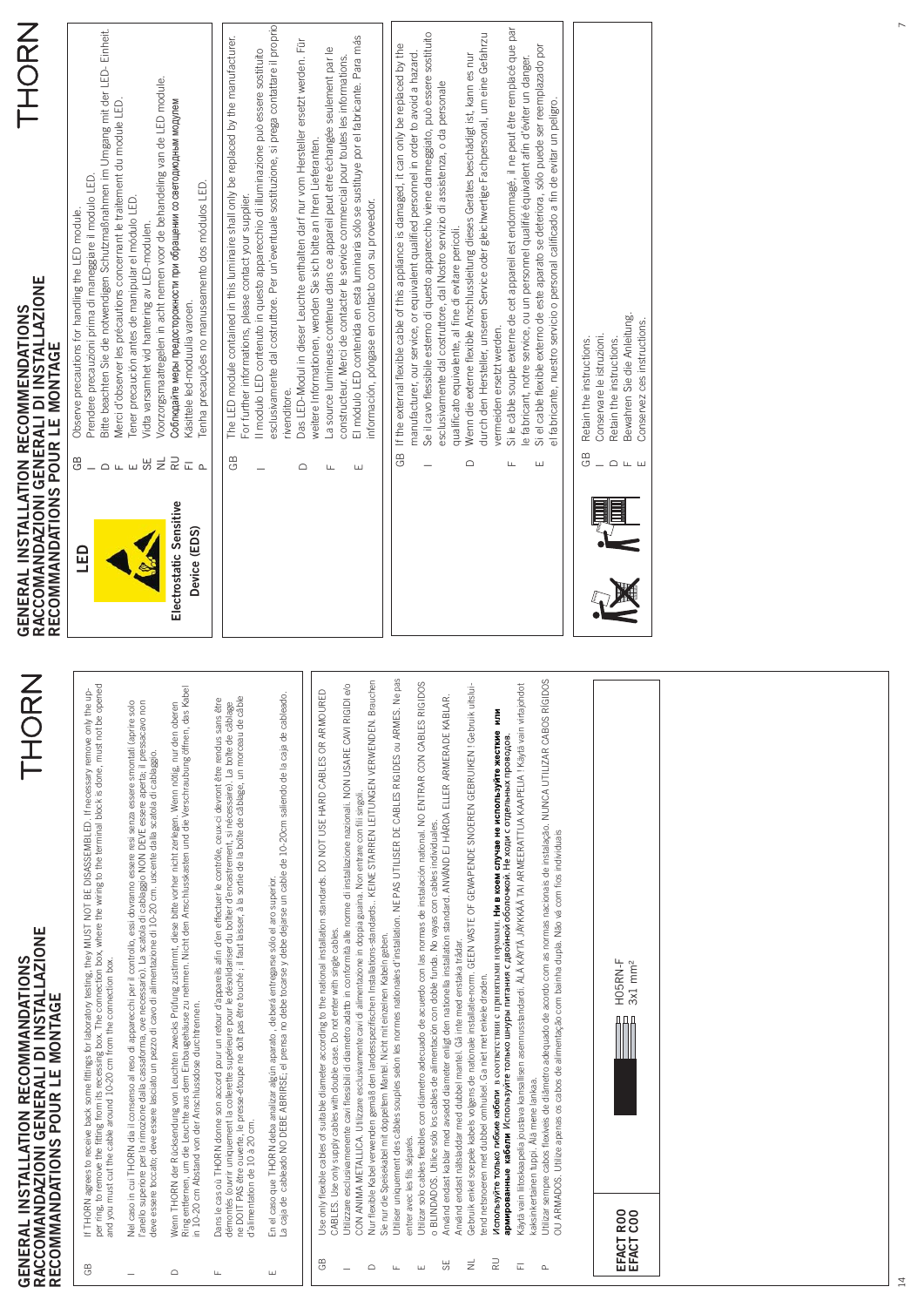| THORN<br>esclusivamente dal costruttore. Per un'eventuale sostituzione, si prega contattare il proprio<br>Si le câble souple externe de cet appareil est endommagé, il ne peut être remplacé que par<br>Bitte beachten Sie die notwendigen Schutzmaßnahmen im Umgang mit der LED-Einheit.<br>Se il cavo flessibile esterno di questo apparecchio viene danneggiato, può essere sostituito<br>durch den Hersteller, unseren Service oder gleichwertige Fachpersonal, um eine Gefahrzu<br>The LED module contained in this luminaire shall only be replaced by the manufacturer.<br>El módulo LED contenida en esta luminaria sólo se sustituye por el fabricante. Para más<br>Das LED-Modul in dieser Leuchte enthalten darf nur vom Hersteller ersetzt werden. Für<br>If the external flexible cable of this appliance is damaged, it can only be replaced by the<br>Si el cable flexible externo de este aparato se deteriora, sólo puede ser reemplazado por<br>La source lumineuse contenue dans ce appareil peut etre échangée seulement par le<br>Il modulo LED contenuto in questo apparecchio di illuminazione può essere sostituito<br>manufacturer, our service, or equivalent qualified personnel in order to avoid a hazard.<br>Wenn die externe flexible Anschlussleitung dieses Gerätes beschädigt ist, kann es nur<br>constructeur. Merci de contacter le service commercial pour toutes les informations<br>le fabricant, notre service, ou un personnel qualifié équivalent afin d'éviter un danger.<br>Voorzorgsmaatregelen in acht nemen voor de behandeling van de LED module.<br>esclusivamente dal costruttore, dal Nostro servizio di assistenza, o da personale<br>el fabricante, nuestro servicio o personal calificado a fin de evitar un peligro.<br>Merci d'observer les précautions concernant le traitement du module LED<br>Соблюдайте меры предосторожности при обращении со светодиодным модулем<br>weitere Informationen, wenden Sie sich bitte an Ihren Lieferanten.<br>Prendere precauzioni prima di maneggiare il modulo LED.<br>Tenha precauções no manuseamento dos módulos LED.<br>For further informations, please contact your supplier.<br>Tener precaución antes de manipular el módulo LED.<br>información, póngase en contacto con su proveedor.<br>Observe precautions for handling the LED module.<br>Vidta varsamhet vid hantering av LED-modulen<br>qualificato equivalente, al fine di evitare pericoli.<br>GENERAL INSTALLATION RECOMMENDATIONS<br>RACCOMANDAZIONI GENERALI DI INSTALLAZIONE<br>RECOMMANDATIONS POUR LE MONTAGE<br>Käsittele led-moduulia varoen.<br>Bewahren Sie die Anleitung.<br>Conservez ces instructions<br>vermeiden ersetzt werden.<br>Conservare le istruzioni<br>Retain the instructions.<br>Retain the instructions<br>rivenditore<br>GB<br>GB<br>GB<br>GВ<br>$\overset{\supset}{\cong}$ $\overset{\supset}{\cong}$ $\mathop{\mathbb{C}}$<br>⊞<br>⊘⊔<br>$\equiv$<br>$\Omega$ in in<br>$\supset$<br>$-$<br>$\mathsf{L}\mathsf{L}$<br>ш<br>$\hfill\ensuremath{\mathsf{d}}$<br>$\supset$<br>LL.<br>$\sqcup\!\sqcup$<br>$\sqcup$<br>Electrostatic Sensitive<br>Device (EDS)<br><b>G</b><br>Utiliser uniquement des câbles souples selon les normes nationales d'installation. NE PAS UTILISER DE CABLES RIGIDES ou ARMES. Ne pas<br>Utilizar sempre cabos flexíveis de diâmetro adequado de acordo com as normas nacionais de instalação. NUNCA UTILIZAR CABOS RÍGIDOS<br>rauchen<br>Utilizar solo cables flexibles con diámetro adecuado de acuerdo con las normas de instalación national. NO ENTRAR CON CABLES RIGIDOS<br>per ring, to remove the fitting from its recessing box. The connection box, where the wiring to the terminal block is done, must not be opened<br>and you must cut the cable around 10-20 cm from the connection box.<br>Utilizzare esclusivamenente cavi flessibili di diametro adatto in conformità alle norme di installazione nazionali. NON USARE CAVI RIGIDI e/o<br>$u$ itsl $u$ i-<br>Käytä vain liitoskaapelia joustava kansallisen asennusstandardi. ALA KÄYTÄ JÄYKKÄÄ TAI ARMEERATTUA KAAPELIA I Käytä vain virtajohdot<br>Wenn THORN der Rücksendung von Leuchten zwecks Prüfung zustimmt, diese bitte vorher nicht zerlegen. Wenn nötig, nur den oberen<br>Ring entfernen, um die Leuchte aus dem Einbaugehäuse zu nehmen. Nicht den Anschlusskasten und d<br>If THORN agrees to receive back some fittings for laboratory testing, they MUST NOT BE DISASSEMBLED. If necessary remove only the up-<br>Use only flexible cables of suitable diameter according to the national installation standards. DO NOT USE HARD CABLES OR ARMOURED<br>En el caso que THORN deba analizar algún aparato , deberá entregarse sólo el aro superior.<br>La caja de cableado NO DEBE ABRIRSE; el prensa no debe tocarse y debe dejarse un cable de 10-20cm saliendo de la caja de cableado.<br>Använd endast kablar med avsedd diameter enligt den nationella installation standard. ANVÄND EJ HÅRDA ELLER ARMERADE KABLAR.<br>Dans le cas où THORN donne son accord pour un retour d'appareils afin d'en effectuer le contrôle, ceux-ci devront être rendus sans être<br>démontés (ouvrir uniquement la collerette supérieure pour le désolidariser du boîtier<br>Nel caso in cui THORN dia il consenso al reso di apparecchi per il controllo, essi dovranno essere resi senza essere smontati (aprire solo<br>l'anello superiore per la rimozione dalla cassaforma, ove necessario). La scatola di cablaggio NON DEVE essere aperta; il pressacavo non<br>Nur flexible Kabel verwenden gemäß den landesspezifischen Installations-standards KEINE STARREN LEITUNGEN VERWENDEN. B<br>Gebruik enkel soepele kabels volgens de nationale installatie-norm. GEEN VASTE OF GEWAPENDE SNOEREN GEBRUIKEN ! Gebruik<br>Используйге только гибкие кабели в соответствии с принятыми нормами. <b>Ни в коем случае не используйте жесткие ил</b><br><b>армированные кабели</b> Используйте только шнуры питания с двойной оболочкой. Не ходи с отдельных проводов.<br>deve essere toccato; deve essere lasciato un pezzo di cavo di alimentazione di 10-20 cm. uscente dalla scatola di cablaggio.<br>CON ANIMA METALLICA. Utilizzare esclusivamente cavi di alimentazione in doppia guaina. Non entrare con fili singoli<br>o BLINDADOS. Utilice sólo los cables de alimentación con doble funda. No vayas con cables individuales.<br>OU ARMADOS. Utilize apenas os cabos de alimentação com bainha dupla. Não vá com fios individuais<br>GENERAL INSTALLATION RECOMMANDATIONS<br>RACCOMANDAZIONI GENERALI DI INSTALLAZIONE<br>RECOMMANDATIONS POUR LE MONTAGE<br>CABLES. Use only supply cables with double case. Do not enter with single cables<br>Sie nur die Speisekabel mit doppeltem Mantel. Nicht mit einzelnen Kabeln geben.<br>Använd endast nätsladdar med dubbel mantel. Gå inte med enstaka trådar.<br>HO5RN-F<br>$3x1$ mm <sup>2</sup><br>tend netsnoeren met dubbel omhulsel. Ga niet met enkele draden.<br>in 10-20 cm Abstand von der Anschlussdose durchtrennen.<br>kaksinkertainen tuppi. Älä mene lankaa.<br>d'alimentation de 10 à 20 cm.<br>entrer avec les fils séparés.<br>EFACT ROO<br>RU<br>GB<br>Ξ<br>55<br>Ē.<br>$\mathbb{G} \mathbb{B}$<br>$\supset$<br>$\mathbf{\underline{\alpha}}$<br>$\sqcup$<br>$\sqcup$<br>$\overline{\phantom{0}}$ |  |  |  |
|-----------------------------------------------------------------------------------------------------------------------------------------------------------------------------------------------------------------------------------------------------------------------------------------------------------------------------------------------------------------------------------------------------------------------------------------------------------------------------------------------------------------------------------------------------------------------------------------------------------------------------------------------------------------------------------------------------------------------------------------------------------------------------------------------------------------------------------------------------------------------------------------------------------------------------------------------------------------------------------------------------------------------------------------------------------------------------------------------------------------------------------------------------------------------------------------------------------------------------------------------------------------------------------------------------------------------------------------------------------------------------------------------------------------------------------------------------------------------------------------------------------------------------------------------------------------------------------------------------------------------------------------------------------------------------------------------------------------------------------------------------------------------------------------------------------------------------------------------------------------------------------------------------------------------------------------------------------------------------------------------------------------------------------------------------------------------------------------------------------------------------------------------------------------------------------------------------------------------------------------------------------------------------------------------------------------------------------------------------------------------------------------------------------------------------------------------------------------------------------------------------------------------------------------------------------------------------------------------------------------------------------------------------------------------------------------------------------------------------------------------------------------------------------------------------------------------------------------------------------------------------------------------------------------------------------------------------------------------------------------------------------------------------------------------------------------------------------------------------------------------------------------------------------------------------------------------------------------------------------------------------------------------------------------------------------------------------------------------------------------------------------------------------------------------------------------------------------------------------------------------------------------------------------------------------------------------------------------------------------------------------------------------------------------------------------------------------------------------------------------------------------------------------------------------------------------------------------------------------------------------------------------------------------------------------------------------------------------------------------------------------------------------------------------------------------------------------------------------------------------------------------------------------------------------------------------------------------------------------------------------------------------------------------------------------------------------------------------------------------------------------------------------------------------------------------------------------------------------------------------------------------------------------------------------------------------------------------------------------------------------------------------------------------------------------------------------------------------------------------------------------------------------------------------------------------------------------------------------------------------------------------------------------------------------------------------------------------------------------------------------------------------------------------------------------------------------------------------------------------------------------------------------------------------------------------------------------------------------------------------------------------------------------------------------------------------------------------------------------------------------------------------------------------------------------------------------------------------------------------------------------------------------------------------------------------------------------------------------------------------------------------------------------------------------------------------------------------------------------------------------------------------------------------------------------------------------------------------------------------------------------------------------------------------------------------------------------------------------------------------------------------------------------------------------------------------------------------------------------------------------------------------------------------------------------------------------------------------------------------------------------------------------------------------------------------------------------------------------------------------------------------------------------------------------------------------------------------------------------------------------------------------------------------------------------------------------------------------------------------------------------------------------------------------------------------------------------------------------------------------------------------------------------------------------------------------------------------------------------------------------------------------------------------------------------------------------------------------------------------------------------------------------------------------------------------------------------------------------------------------------------------------------------------------------------------------------------------------------------------------------------------------------------------------------------------------------------------------------------------------------|--|--|--|
|                                                                                                                                                                                                                                                                                                                                                                                                                                                                                                                                                                                                                                                                                                                                                                                                                                                                                                                                                                                                                                                                                                                                                                                                                                                                                                                                                                                                                                                                                                                                                                                                                                                                                                                                                                                                                                                                                                                                                                                                                                                                                                                                                                                                                                                                                                                                                                                                                                                                                                                                                                                                                                                                                                                                                                                                                                                                                                                                                                                                                                                                                                                                                                                                                                                                                                                                                                                                                                                                                                                                                                                                                                                                                                                                                                                                                                                                                                                                                                                                                                                                                                                                                                                                                                                                                                                                                                                                                                                                                                                                                                                                                                                                                                                                                                                                                                                                                                                                                                                                                                                                                                                                                                                                                                                                                                                                                                                                                                                                                                                                                                                                                                                                                                                                                                                                                                                                                                                                                                                                                                                                                                                                                                                                                                                                                                                                                                                                                                                                                                                                                                                                                                                                                                                                                                                                                                                                                                                                                                                                                                                                                                                                                                                                                                                                                                                                                                       |  |  |  |
|                                                                                                                                                                                                                                                                                                                                                                                                                                                                                                                                                                                                                                                                                                                                                                                                                                                                                                                                                                                                                                                                                                                                                                                                                                                                                                                                                                                                                                                                                                                                                                                                                                                                                                                                                                                                                                                                                                                                                                                                                                                                                                                                                                                                                                                                                                                                                                                                                                                                                                                                                                                                                                                                                                                                                                                                                                                                                                                                                                                                                                                                                                                                                                                                                                                                                                                                                                                                                                                                                                                                                                                                                                                                                                                                                                                                                                                                                                                                                                                                                                                                                                                                                                                                                                                                                                                                                                                                                                                                                                                                                                                                                                                                                                                                                                                                                                                                                                                                                                                                                                                                                                                                                                                                                                                                                                                                                                                                                                                                                                                                                                                                                                                                                                                                                                                                                                                                                                                                                                                                                                                                                                                                                                                                                                                                                                                                                                                                                                                                                                                                                                                                                                                                                                                                                                                                                                                                                                                                                                                                                                                                                                                                                                                                                                                                                                                                                                       |  |  |  |
|                                                                                                                                                                                                                                                                                                                                                                                                                                                                                                                                                                                                                                                                                                                                                                                                                                                                                                                                                                                                                                                                                                                                                                                                                                                                                                                                                                                                                                                                                                                                                                                                                                                                                                                                                                                                                                                                                                                                                                                                                                                                                                                                                                                                                                                                                                                                                                                                                                                                                                                                                                                                                                                                                                                                                                                                                                                                                                                                                                                                                                                                                                                                                                                                                                                                                                                                                                                                                                                                                                                                                                                                                                                                                                                                                                                                                                                                                                                                                                                                                                                                                                                                                                                                                                                                                                                                                                                                                                                                                                                                                                                                                                                                                                                                                                                                                                                                                                                                                                                                                                                                                                                                                                                                                                                                                                                                                                                                                                                                                                                                                                                                                                                                                                                                                                                                                                                                                                                                                                                                                                                                                                                                                                                                                                                                                                                                                                                                                                                                                                                                                                                                                                                                                                                                                                                                                                                                                                                                                                                                                                                                                                                                                                                                                                                                                                                                                                       |  |  |  |
|                                                                                                                                                                                                                                                                                                                                                                                                                                                                                                                                                                                                                                                                                                                                                                                                                                                                                                                                                                                                                                                                                                                                                                                                                                                                                                                                                                                                                                                                                                                                                                                                                                                                                                                                                                                                                                                                                                                                                                                                                                                                                                                                                                                                                                                                                                                                                                                                                                                                                                                                                                                                                                                                                                                                                                                                                                                                                                                                                                                                                                                                                                                                                                                                                                                                                                                                                                                                                                                                                                                                                                                                                                                                                                                                                                                                                                                                                                                                                                                                                                                                                                                                                                                                                                                                                                                                                                                                                                                                                                                                                                                                                                                                                                                                                                                                                                                                                                                                                                                                                                                                                                                                                                                                                                                                                                                                                                                                                                                                                                                                                                                                                                                                                                                                                                                                                                                                                                                                                                                                                                                                                                                                                                                                                                                                                                                                                                                                                                                                                                                                                                                                                                                                                                                                                                                                                                                                                                                                                                                                                                                                                                                                                                                                                                                                                                                                                                       |  |  |  |
|                                                                                                                                                                                                                                                                                                                                                                                                                                                                                                                                                                                                                                                                                                                                                                                                                                                                                                                                                                                                                                                                                                                                                                                                                                                                                                                                                                                                                                                                                                                                                                                                                                                                                                                                                                                                                                                                                                                                                                                                                                                                                                                                                                                                                                                                                                                                                                                                                                                                                                                                                                                                                                                                                                                                                                                                                                                                                                                                                                                                                                                                                                                                                                                                                                                                                                                                                                                                                                                                                                                                                                                                                                                                                                                                                                                                                                                                                                                                                                                                                                                                                                                                                                                                                                                                                                                                                                                                                                                                                                                                                                                                                                                                                                                                                                                                                                                                                                                                                                                                                                                                                                                                                                                                                                                                                                                                                                                                                                                                                                                                                                                                                                                                                                                                                                                                                                                                                                                                                                                                                                                                                                                                                                                                                                                                                                                                                                                                                                                                                                                                                                                                                                                                                                                                                                                                                                                                                                                                                                                                                                                                                                                                                                                                                                                                                                                                                                       |  |  |  |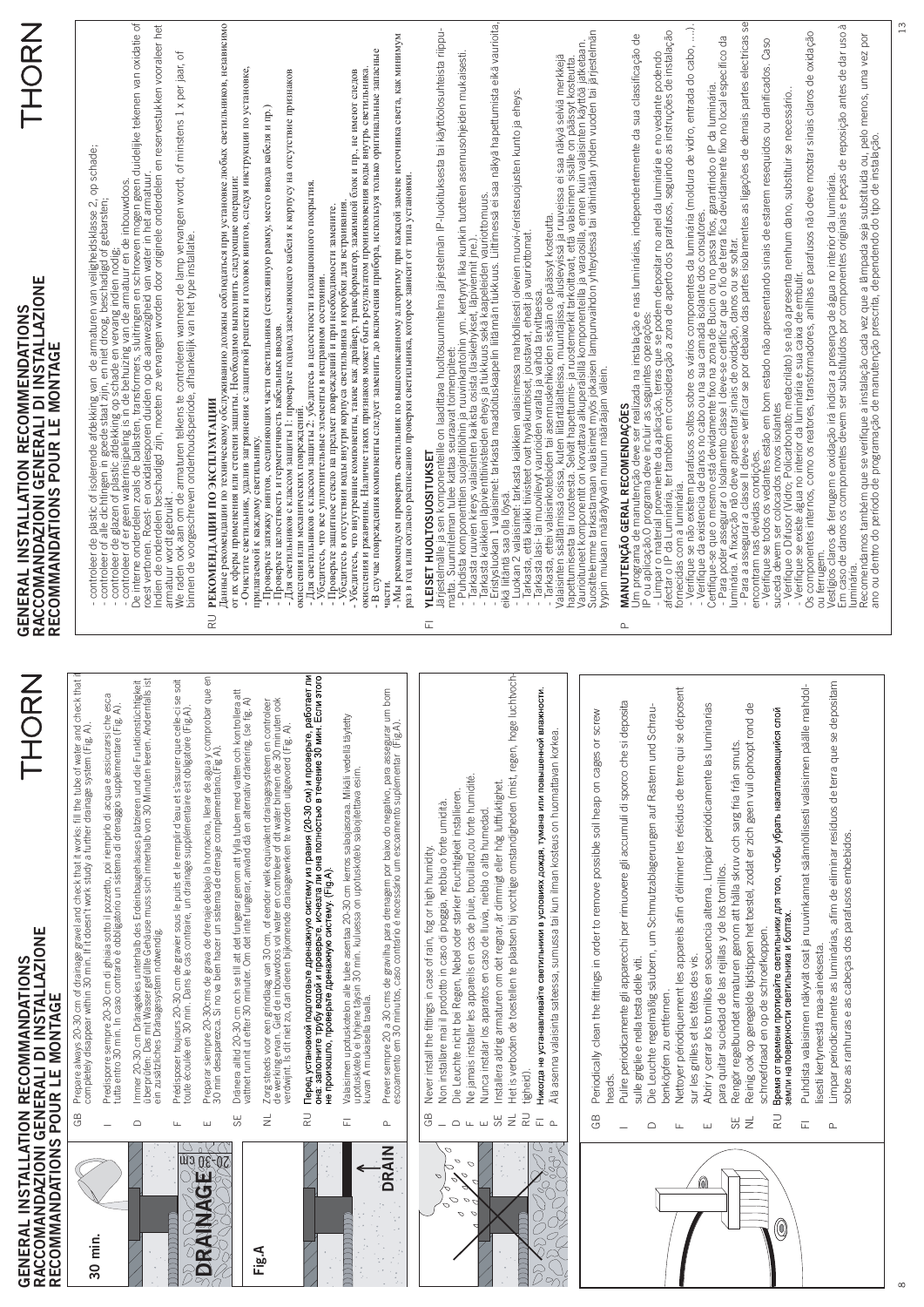| RECOMMANDATIONS POUR LE MONTAGE                                                                                                                   | THOR<br>GENERAL INSTALLATION RECOMMANDATIONS<br>RACCOMANDAZIONI GENERALI DI INSTALLAZIONE                                                                                                                                                                                                                                                                                                                                                                                                                                                                                                                                                                                                                                                                                                                                                                                                                                                                                                                                                                                                                                                                                                                                                                                                                                                                                                                                                                                                                                                                                                                                                                                                                                                                                                                                                                                                                                                                                                                                                                                                                                                                                                                                                                                                                      | <b>Z<br/>CHORN</b><br>GENERAL INSTALLATION RECOMMENDATIONS<br>RACCOMANDAZIONI GENERALI DI INSTALLAZIONE<br>RECOMMANDATIONS POUR LE MONTAGE                                                                                                                                                                                                                                                                                                                                                                                                                                                                                                                                                                                                                                                                                                                                                                                                                                                                                                                                                                                                                                                                                                                                                                                                                                                                                                                                                                                                                                                                                                                                                                                                                                                                                                                                                                                                                                                                                                                                                                                                                                                                                                                                                                                                                                                                                                                                                                                                                                                                                                                                                                                                                                                                                                                                                                                                                                            |
|---------------------------------------------------------------------------------------------------------------------------------------------------|----------------------------------------------------------------------------------------------------------------------------------------------------------------------------------------------------------------------------------------------------------------------------------------------------------------------------------------------------------------------------------------------------------------------------------------------------------------------------------------------------------------------------------------------------------------------------------------------------------------------------------------------------------------------------------------------------------------------------------------------------------------------------------------------------------------------------------------------------------------------------------------------------------------------------------------------------------------------------------------------------------------------------------------------------------------------------------------------------------------------------------------------------------------------------------------------------------------------------------------------------------------------------------------------------------------------------------------------------------------------------------------------------------------------------------------------------------------------------------------------------------------------------------------------------------------------------------------------------------------------------------------------------------------------------------------------------------------------------------------------------------------------------------------------------------------------------------------------------------------------------------------------------------------------------------------------------------------------------------------------------------------------------------------------------------------------------------------------------------------------------------------------------------------------------------------------------------------------------------------------------------------------------------------------------------------|---------------------------------------------------------------------------------------------------------------------------------------------------------------------------------------------------------------------------------------------------------------------------------------------------------------------------------------------------------------------------------------------------------------------------------------------------------------------------------------------------------------------------------------------------------------------------------------------------------------------------------------------------------------------------------------------------------------------------------------------------------------------------------------------------------------------------------------------------------------------------------------------------------------------------------------------------------------------------------------------------------------------------------------------------------------------------------------------------------------------------------------------------------------------------------------------------------------------------------------------------------------------------------------------------------------------------------------------------------------------------------------------------------------------------------------------------------------------------------------------------------------------------------------------------------------------------------------------------------------------------------------------------------------------------------------------------------------------------------------------------------------------------------------------------------------------------------------------------------------------------------------------------------------------------------------------------------------------------------------------------------------------------------------------------------------------------------------------------------------------------------------------------------------------------------------------------------------------------------------------------------------------------------------------------------------------------------------------------------------------------------------------------------------------------------------------------------------------------------------------------------------------------------------------------------------------------------------------------------------------------------------------------------------------------------------------------------------------------------------------------------------------------------------------------------------------------------------------------------------------------------------------------------------------------------------------------------------------------------------|
| 30 min.                                                                                                                                           | Prepare always 20-30 cm of drainage gravel and check that it works. fill the tube of water and check that<br>completely disappear within 30 min. If it doesn't work study a further drainage system (Fig. A).<br>GB                                                                                                                                                                                                                                                                                                                                                                                                                                                                                                                                                                                                                                                                                                                                                                                                                                                                                                                                                                                                                                                                                                                                                                                                                                                                                                                                                                                                                                                                                                                                                                                                                                                                                                                                                                                                                                                                                                                                                                                                                                                                                            | - controleer de plastic of isolerende afdekking van  de armaturen van veiligheidsklasse 2, op schade;<br>- controleer of alle dichtingen in goede staat zijn, en niet droog, beschadigd of gebarsten;<br>- controleer de glazen of p                                                                                                                                                                                                                                                                                                                                                                                                                                                                                                                                                                                                                                                                                                                                                                                                                                                                                                                                                                                                                                                                                                                                                                                                                                                                                                                                                                                                                                                                                                                                                                                                                                                                                                                                                                                                                                                                                                                                                                                                                                                                                                                                                                                                                                                                                                                                                                                                                                                                                                                                                                                                                                                                                                                                                  |
|                                                                                                                                                   | Predisporre sempre 20-30 cm di ghiaia sotto il pozzetto, poi riempirlo di acqua e assicurarsi che esca<br>tutta entro 30 min. In caso contrario è obbligatorio un sistema di drenaggio supplementare (Fig. A).<br>$\overline{\phantom{0}}$                                                                                                                                                                                                                                                                                                                                                                                                                                                                                                                                                                                                                                                                                                                                                                                                                                                                                                                                                                                                                                                                                                                                                                                                                                                                                                                                                                                                                                                                                                                                                                                                                                                                                                                                                                                                                                                                                                                                                                                                                                                                     |                                                                                                                                                                                                                                                                                                                                                                                                                                                                                                                                                                                                                                                                                                                                                                                                                                                                                                                                                                                                                                                                                                                                                                                                                                                                                                                                                                                                                                                                                                                                                                                                                                                                                                                                                                                                                                                                                                                                                                                                                                                                                                                                                                                                                                                                                                                                                                                                                                                                                                                                                                                                                                                                                                                                                                                                                                                                                                                                                                                       |
|                                                                                                                                                   | Immer 20-30 cm Dränagekies unterhalb des Erdeinbaugehäuses platzieren und die Funktionstüchtigkeit<br>überprüfen: Das mit Wasser gefüllte Gehäuse muss sich innerhalb von 30 Minuten leeren. Andemfalls ist<br>ein zusätzliches Drän<br>$\supset$                                                                                                                                                                                                                                                                                                                                                                                                                                                                                                                                                                                                                                                                                                                                                                                                                                                                                                                                                                                                                                                                                                                                                                                                                                                                                                                                                                                                                                                                                                                                                                                                                                                                                                                                                                                                                                                                                                                                                                                                                                                              | - controleer of er geen waterinsiipeling is in de behuizing van de armatuur en de inbouwdoos.<br>De interne onderdelen zoals de ballasten, transformers, sluitringen en schroeven mogen geen duidelijke tekenen van oxidatie of<br>r                                                                                                                                                                                                                                                                                                                                                                                                                                                                                                                                                                                                                                                                                                                                                                                                                                                                                                                                                                                                                                                                                                                                                                                                                                                                                                                                                                                                                                                                                                                                                                                                                                                                                                                                                                                                                                                                                                                                                                                                                                                                                                                                                                                                                                                                                                                                                                                                                                                                                                                                                                                                                                                                                                                                                  |
| $\overline{\mathbb{C}}$<br>ווווווווווווווווווו                                                                                                    | soit<br>Prédisposer toujours 20-30 cm de gravier sous le puits et le remplir d'eau et s'assurer que celle-ci se<br>toute écoulée en 30 min. Dans le cas contraire, un drainage supplémentaire est obligatoire (Fig.A).<br>Щ.                                                                                                                                                                                                                                                                                                                                                                                                                                                                                                                                                                                                                                                                                                                                                                                                                                                                                                                                                                                                                                                                                                                                                                                                                                                                                                                                                                                                                                                                                                                                                                                                                                                                                                                                                                                                                                                                                                                                                                                                                                                                                   | armatuur wordt gebruikt.<br>We raden ook aan om de armaturen telkens te controleren wanneer de lamp vervangen wordt, of minstens 1 x per jaar, of<br>binnen de voorgeschreven onderhoudsperiode, afhankelijk van het type installatie                                                                                                                                                                                                                                                                                                                                                                                                                                                                                                                                                                                                                                                                                                                                                                                                                                                                                                                                                                                                                                                                                                                                                                                                                                                                                                                                                                                                                                                                                                                                                                                                                                                                                                                                                                                                                                                                                                                                                                                                                                                                                                                                                                                                                                                                                                                                                                                                                                                                                                                                                                                                                                                                                                                                                 |
| Q₿<br>A.<br>$\mathbb{Z}_{\geq 0}$                                                                                                                 | Preparar siempre 20-30cms de grava de drenaje debajo la hornacina, llenar de agua y comprobar que en<br>30 min desaparezca. Si no va bien hacer un sistema de drenaje complementario.(Fig A).<br>ш                                                                                                                                                                                                                                                                                                                                                                                                                                                                                                                                                                                                                                                                                                                                                                                                                                                                                                                                                                                                                                                                                                                                                                                                                                                                                                                                                                                                                                                                                                                                                                                                                                                                                                                                                                                                                                                                                                                                                                                                                                                                                                             | Данные рекомендации по техническому обслуживанию должны соблюдаться при установке любых светильников, независимо<br>РЕКОМЕНДАЦИИ ПО ЭКСПЛУАТАЦИИ<br>$\supsetneq$                                                                                                                                                                                                                                                                                                                                                                                                                                                                                                                                                                                                                                                                                                                                                                                                                                                                                                                                                                                                                                                                                                                                                                                                                                                                                                                                                                                                                                                                                                                                                                                                                                                                                                                                                                                                                                                                                                                                                                                                                                                                                                                                                                                                                                                                                                                                                                                                                                                                                                                                                                                                                                                                                                                                                                                                                      |
|                                                                                                                                                   | Dränera alltid 20-30 cm och se till att det fungerar genom att fylla tuben med vatten och kontrollera att<br>vattnet runnit ut efter 30 minuter. Om det inte fungerar, använd då en alternativ dränering. (se fig. A)<br>55                                                                                                                                                                                                                                                                                                                                                                                                                                                                                                                                                                                                                                                                                                                                                                                                                                                                                                                                                                                                                                                                                                                                                                                                                                                                                                                                                                                                                                                                                                                                                                                                                                                                                                                                                                                                                                                                                                                                                                                                                                                                                    | - Очистите светильник, удалив загрязнения с защитной решетки и головок вингов, следуя инструкции по установке,<br>прилагаемой к каждому светильнику.<br>от их сферы применения или степени защиты. Необходимо выполнить следующие операции:                                                                                                                                                                                                                                                                                                                                                                                                                                                                                                                                                                                                                                                                                                                                                                                                                                                                                                                                                                                                                                                                                                                                                                                                                                                                                                                                                                                                                                                                                                                                                                                                                                                                                                                                                                                                                                                                                                                                                                                                                                                                                                                                                                                                                                                                                                                                                                                                                                                                                                                                                                                                                                                                                                                                           |
| Fig.A                                                                                                                                             | Zorg steeds voor een grindlaag van 30 cm, of eender welk equivalent drainagesysteem en controleer<br>de werking ervan. Giet de inbouwdoos vol water en controleer of dit water binnen de 30 minuten ook<br>verdwijrt. Is dit niet zo<br>$\overline{z}$                                                                                                                                                                                                                                                                                                                                                                                                                                                                                                                                                                                                                                                                                                                                                                                                                                                                                                                                                                                                                                                                                                                                                                                                                                                                                                                                                                                                                                                                                                                                                                                                                                                                                                                                                                                                                                                                                                                                                                                                                                                         | - Для светильников с классом защиты 1: проверьте подвод заземляющего кабеля к корпусу на отсутствие признаков<br>- Проверьте затяжку винтов, соединяющих части светильника (стеклянную рамку, место ввода кабеля и пр.)<br>- Проверьте целостность и герметичность кабельных вводов.                                                                                                                                                                                                                                                                                                                                                                                                                                                                                                                                                                                                                                                                                                                                                                                                                                                                                                                                                                                                                                                                                                                                                                                                                                                                                                                                                                                                                                                                                                                                                                                                                                                                                                                                                                                                                                                                                                                                                                                                                                                                                                                                                                                                                                                                                                                                                                                                                                                                                                                                                                                                                                                                                                  |
|                                                                                                                                                   | Перед установкой подготовьте дренажную систему из гравия (20-30 см) и проверьте, работает ли<br>она: заполните трубу водой и проверьте, исчезл <u>а</u> ли она полностью в течение 30 мин. Если этого<br>не произошло, проверьте дренажную систему (Fig A)<br>RU                                                                                                                                                                                                                                                                                                                                                                                                                                                                                                                                                                                                                                                                                                                                                                                                                                                                                                                                                                                                                                                                                                                                                                                                                                                                                                                                                                                                                                                                                                                                                                                                                                                                                                                                                                                                                                                                                                                                                                                                                                               | - Для светильников с классом защиты 2: убедитесь в целостности изоляционного покрытия.<br>- Убедитесь, что все уплотнительные элементы в исправном состоянии.<br>- Проверьте защитное стекло на предмет повреждений и при необходимости замените.<br>окисления или механических повреждений                                                                                                                                                                                                                                                                                                                                                                                                                                                                                                                                                                                                                                                                                                                                                                                                                                                                                                                                                                                                                                                                                                                                                                                                                                                                                                                                                                                                                                                                                                                                                                                                                                                                                                                                                                                                                                                                                                                                                                                                                                                                                                                                                                                                                                                                                                                                                                                                                                                                                                                                                                                                                                                                                           |
| תתתתת הנות                                                                                                                                        | Valaisimen upoluskotelon alle tulee asentaa 20-30 cm kerros salaojasoraa. Mikäli vedellä täytetty<br>upotuskotelo ei tyhjene täysin 30 min. kuluessa on upotuskotelo salaojitettava esim.<br>kuvan A mukaisella tavalla.<br>Ē.                                                                                                                                                                                                                                                                                                                                                                                                                                                                                                                                                                                                                                                                                                                                                                                                                                                                                                                                                                                                                                                                                                                                                                                                                                                                                                                                                                                                                                                                                                                                                                                                                                                                                                                                                                                                                                                                                                                                                                                                                                                                                 | окисления и ржавчины. Наличие таких признаков может быть результатом проникновения воды внутрь светильника<br>- Убедитесь, что внутренние компоненты, такие как драйвер, трансформатор, зажимной блок и пр., не имеют следов<br>Убедитесь в отсутствии воды внутри корпуса светильника и коробки для встраивания                                                                                                                                                                                                                                                                                                                                                                                                                                                                                                                                                                                                                                                                                                                                                                                                                                                                                                                                                                                                                                                                                                                                                                                                                                                                                                                                                                                                                                                                                                                                                                                                                                                                                                                                                                                                                                                                                                                                                                                                                                                                                                                                                                                                                                                                                                                                                                                                                                                                                                                                                                                                                                                                      |
| <b>DRAIN</b>                                                                                                                                      | $\approx$<br>Prever sempre 20 a 30 cms de gravilha para drenagem por baixo do negativo, para assegurar um bor<br>escoamento em 30 minutos, caso contrário é necessário um escoamento suplementar (Fig.A).<br>$\mathrel{\mathsf{a}}$                                                                                                                                                                                                                                                                                                                                                                                                                                                                                                                                                                                                                                                                                                                                                                                                                                                                                                                                                                                                                                                                                                                                                                                                                                                                                                                                                                                                                                                                                                                                                                                                                                                                                                                                                                                                                                                                                                                                                                                                                                                                            | - Мы рекомендуем проверять светильник по вышеописанному алгоритму при каждой замене источника света, как минимум<br>- В случае повреждения компоненты следует заменить до включения прибора, используя только оригинальные запасные<br>раз в год или согласно расписанию проверки светильника, которое зависит от типа установки.<br>части                                                                                                                                                                                                                                                                                                                                                                                                                                                                                                                                                                                                                                                                                                                                                                                                                                                                                                                                                                                                                                                                                                                                                                                                                                                                                                                                                                                                                                                                                                                                                                                                                                                                                                                                                                                                                                                                                                                                                                                                                                                                                                                                                                                                                                                                                                                                                                                                                                                                                                                                                                                                                                            |
| ◡<br>$rac{1}{2}$<br>O<br>O<br>$\mathcal{L}$<br>p<br>$\sigma$<br>p<br>2<br>Ο<br>Ó<br>Ο<br>O<br>$\sigma$<br>0<br>LICICI<br>$\dot{\widehat{\delta}}$ | Het is verboden de toestellen te plaatsen bij vochtige omstandigheden (mist, regen, hoge luchtvoch<br>Limpar periodicamente as luminárias, afim de eliminar resíduos de terra que se depositam<br>Puhdista valaisimen näkyvät osat ja ruuvinkannat säännöllisesti valaisimen päälle mahdol-<br>Никогда не устанавливайте светильники в условиях дождя, тумана или повышенной влажности.<br>Nettoyer périodiquement les appareils afin d'éliminer les résidus de terre qui se déposent<br>Pulire periodicamente gli apparecchi per rimuovere gli accumuli di sporco che si deposita<br>Abrir y cerrar los tornillos en secuencia alterna. Limpiar periódicamente las luminarias<br>Reinig ook op geregelde tijdstippen het toestel, zodat er zich geen vuil ophoopt rond de<br>Die Leuchte regelmäßig säubern, um Schmutzablagerungen auf Rastern und Schrau-<br>Время от времени протирайте светильники для того, чтобы убрать накапливающийся слой<br>Periodically clean the fittings in order to remove possible soil heap on cages or screw<br>Älä asenna valaisinta sateessa, sumussa tai kun ilman kosteus on huomattavan korkea.<br>Rengör regelbundet armaturen genom att hålla skruv och sarg fria från smuts.<br>Ne jamais installer les appareils en cas de pluie, brouillard,ou forte humidité.<br>Installera aldrig armaturen om det regnar, är dimmigt eller hög luftfuktighet.<br>Die Leuchte nicht bei Regen, Nebel oder starker Feuchtigkeit installieren<br>Non installare mai il prodotto in caso di pioggia, nebbia o forte umidità<br>Nunca instalar los aparatos en caso de lluvia, niebla o alta humedad<br>sobre as ranhuras e as cabeças dos parafusos embebidos.<br>Never install the fittings in case of rain, fog or high humidity.<br>para quitar suciedad de las rejillas y de los tornillos.<br>земли на поверхности светильника и болтах<br>schroefdraad en op de schroefkoppen.<br>lisesti kertyneestä maa-aineksesta.<br>sur les grilles et les têtes des vis.<br>sulle griglie e nella testa delle viti.<br>benköpfen zu entfernen.<br>tigheid).<br>heads<br>GB<br>$\supseteq$<br>GB<br>$\overline{R}$<br>Ξ<br>59<br>$\overline{L}$ a<br>$\equiv$<br>55<br>$\mathop\square$<br>$\mathsf{L}\mathsf{L}$<br>$\sqcup$<br>匸<br>$\supset$<br>$\mathbf{\underline{\cap}}$<br>Ш<br>Щ | Eristysluokan 1 valaisimet: tarkasta maadoituskaapelin liitännän tiukkuus. Liittimessä ei saa näkyä hapettumista eikä vaurioita,<br>Verifique se não existem parafusos soltos sobre os vários componentes da luminária (moldura de vidro, entrada do cabo, ).<br>Järjestelmälle ja sen komponenteille on laadittava huoltosuunnitelma järjestelmän IP-luokituksesta tai käyttöolosuhteista riippu-<br>matta. Suunnitelman tulee kattaa seuraavat toimenpiteet:<br>- Puhdista komponenttien suojaritil<br>Um programa de manutenção deve ser realizada na instalação e nas luminárias, independentemente da sua classificação de<br>I P ou aplicação.O programa deve incluir as seguintes operações:<br>átectar, o IP da Luminária, ter também<br>hapettumisesta tai ruosteesta. Selvät hapettumis- ja ruostemerkit tarkoittavät, että valaisimen sisälle on päässyt kosteutta.<br>Vaurioituneet komponentti on korvattava alkuperäisillä komponenteilla ja varaosilla, ennen kuin<br>Os componentes internos, como os reatores, transformadores, anilhas e parafusos não deve mostrar sinais claros de oxidação<br>Vestigios claros de ferrugem e oxidação irá indicar a presença de água no interior da luminária.<br>Em caso de danos os componentes devem ser substituídos por componentes originais e peças de reposição antes de dar uso<br>Certifique-se que o mesmo está devidamente fixo na zona de Bucin ou no passa fios, garantindo o IP da luminária.<br>- Para poder assegurar o Isolamento classe I deve-se certificar que o fio de terra fica devidamente fixo no l<br>Verifique se todos os vedantes estão em bom estado não apresentando sinais de estarem resequidos ou dantificados. Caso<br>Valaisinten sisältämissä osissa, kuten liitäntälaitteissa, muuntajissa, aluslevyissä ja ruuveissa ei saa näkyä selviä merkkejä<br>hapettumisesta tai ruosteesta. Selvät hapettumis- ja ruostemerkit tarkoittavat, että valaisimen<br>- Eristysluokan 1 valaisimet: tarkasia <sub>ill</sub> au-uu-uu-u-------<br>elkä liitäntä sasiina löytästä kaikkien valaisimessa mahdollisesti olevien muovi-/eristesuojusten kunto ja eheys.<br>- Tarkasta, että kaikki tiivisteet ovat hyväku<br>- Verifique o Difusor (Vidro; Policarbonato; metacrilato) se não apresenta nenhum dano, substituir se necessário<br>- Verifique se existe água no interior da luminária e sua caixa de embutir.<br>Tarkasta kaikkien läpivientitiivisteiden eheys ja tiukkuus sekä kaapeleiden vauriottomuus.<br>- Verifique da existencia de danos no cabo ou na sua camada isolante dos consutores.<br>Tarkasta ruuvien kireys valaisinten kaikista osista (lasikehykset, läpiviennit jne.)<br>tyypin mukaan määräytyvän muun määräajan välein<br>suceda devem ser colocados novos isolantes<br>MANUTENÇÃO GERAL RECOMENDAÇÕES<br>YLEISET HUOLTOSUOSITUKSET<br>encontram nas devidas condições<br>fornecidas com a luminária.<br>ou ferrugem.<br>luminária.<br>$\overline{\mathbb{L}}$<br>Δ. |
|                                                                                                                                                   |                                                                                                                                                                                                                                                                                                                                                                                                                                                                                                                                                                                                                                                                                                                                                                                                                                                                                                                                                                                                                                                                                                                                                                                                                                                                                                                                                                                                                                                                                                                                                                                                                                                                                                                                                                                                                                                                                                                                                                                                                                                                                                                                                                                                                                                                                                                | Recomendamos também que se verifique a instalação cada vez que a lâmpada seja substituída ou, pelo menos, uma vez<br>ano ou dentro do período de programação de manutenção prescrita, dependendo do tipo de instalação.                                                                                                                                                                                                                                                                                                                                                                                                                                                                                                                                                                                                                                                                                                                                                                                                                                                                                                                                                                                                                                                                                                                                                                                                                                                                                                                                                                                                                                                                                                                                                                                                                                                                                                                                                                                                                                                                                                                                                                                                                                                                                                                                                                                                                                                                                                                                                                                                                                                                                                                                                                                                                                                                                                                                                               |

 $\infty$ 

13